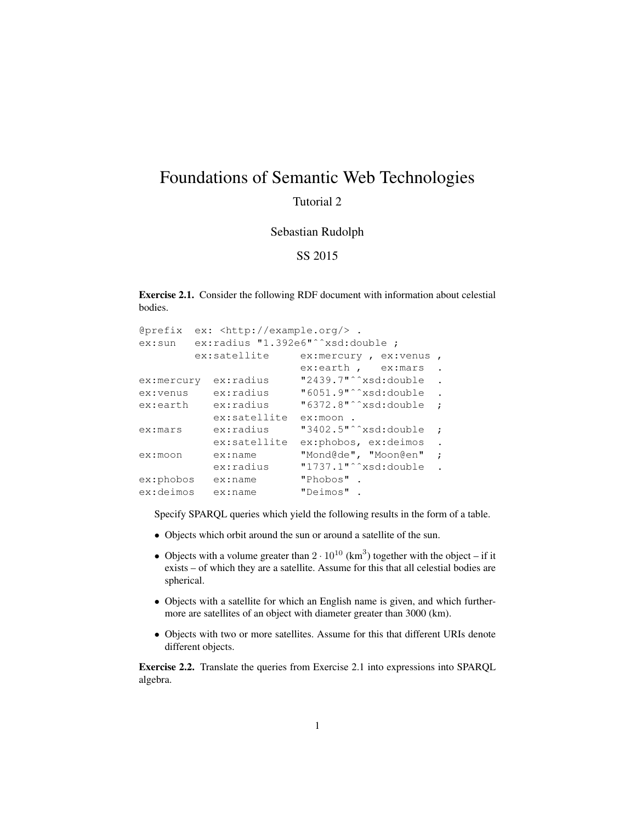## Foundations of Semantic Web Technologies

## Tutorial 2

## Sebastian Rudolph

## SS 2015

Exercise 2.1. Consider the following RDF document with information about celestial bodies.

```
@prefix ex: <http://example.org/> .
ex:sun ex:radius "1.392e6"ˆˆxsd:double ;
       ex:satellite ex:mercury, ex:venus,
                       ex:earth, ex:mars.
ex:mercury ex:radius "2439.7"^^xsd:double.
ex:venus ex:radius "6051.9"ˆˆxsd:double .
ex:earth ex:radius "6372.8"^^xsd:double ;
         ex:satellite ex:moon .
ex:mars ex:radius "3402.5"<sup>^</sup>^xsd:double ;
         ex:satellite ex:phobos, ex:deimos .
ex:moon ex:name "Mond@de", "Moon@en" ;
          ex:radius "1737.1"^^xsd:double.
ex:phobos ex:name "Phobos" .
ex:deimos ex:name "Deimos" .
```
Specify SPARQL queries which yield the following results in the form of a table.

- Objects which orbit around the sun or around a satellite of the sun.
- Objects with a volume greater than  $2 \cdot 10^{10}$  (km<sup>3</sup>) together with the object if it exists – of which they are a satellite. Assume for this that all celestial bodies are spherical.
- Objects with a satellite for which an English name is given, and which furthermore are satellites of an object with diameter greater than 3000 (km).
- Objects with two or more satellites. Assume for this that different URIs denote different objects.

Exercise 2.2. Translate the queries from Exercise 2.1 into expressions into SPARQL algebra.